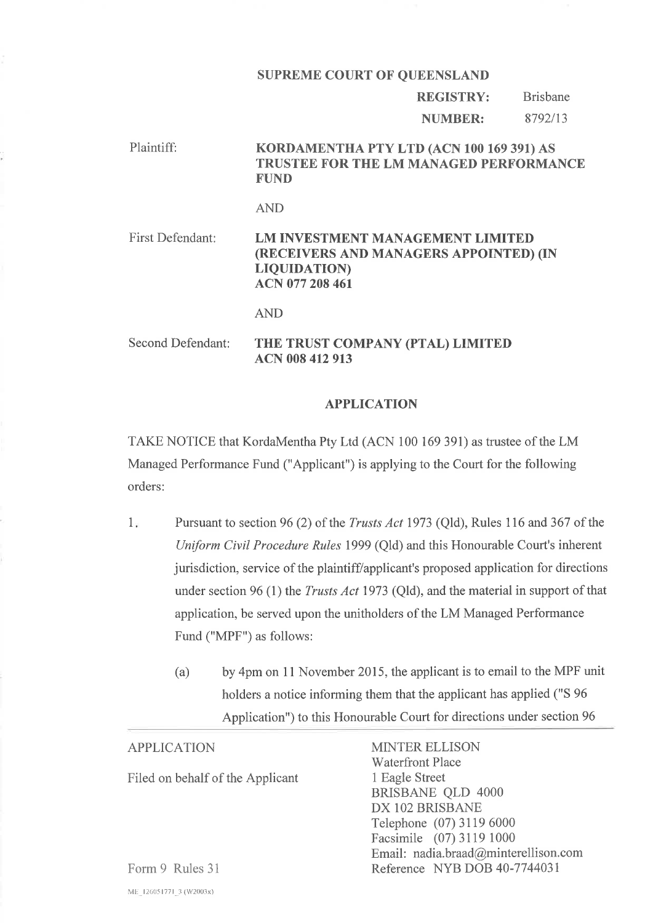# SUPREME COURT OF QUEENSLAND

#### REGISTRY: Brisbane

NUMBER: 8792/13

## Plaintiff: KORDAMENTHA pTy LTD (ACN 100 169 391) AS TRUSTEE FOR THE LM MANAGED PERFORMANCE FUND

### AND

First Defendant: LM INVESTMENT MANAGEMENT LIMITED (RECEIVERS AND MANAGERS APPOINTED) (IN LIQUIDATION) ACN 077 208 461

AND

# Second Defendant: THE TRUST COMPANY (PTAL) LIMITED ACN 008 412 913

## APPLICATION

TAKE NOTICE that KordaMentha Pty Ltd (ACN 100 169 391) as trustee of the LM Managed Performance Fund ("Applicant") is applying to the Court for the following orders:

- Pursuant to section 96 (2) of the Trusts Act 1973 (Qld), Rules 116 and 367 of the Uniform Civil Procedure Rules 1999 (Qld) and this Honourable Court's inherent jurisdiction, service of the plaintiff/applicant's proposed application for directions under section 96 (1) the *Trusts Act* 1973 (Qld), and the material in support of that application, be served upon the unitholders of the LM Managed Performance Fund ("MPF") as follows:  $1.$ 
	- (a) by 4pm on 11 November 2015, the applicant is to email to the MPF unit holders a notice informing them that the applicant has applied ("S 96 Application") to this Honourable Court for directions under section 96

| <b>APPLICATION</b>               | <b>MINTER ELLISON</b>                |
|----------------------------------|--------------------------------------|
|                                  | <b>Waterfront Place</b>              |
| Filed on behalf of the Applicant | 1 Eagle Street                       |
|                                  | <b>BRISBANE QLD 4000</b>             |
|                                  | DX 102 BRISBANE                      |
|                                  | Telephone (07) 3119 6000             |
|                                  | Facsimile (07) 3119 1000             |
|                                  | Email: nadia.braad@minterellison.com |
| Form 9 Rules 31                  | Reference NYB DOB 40-7744031         |

ME\_126051771\_3 (W2003x)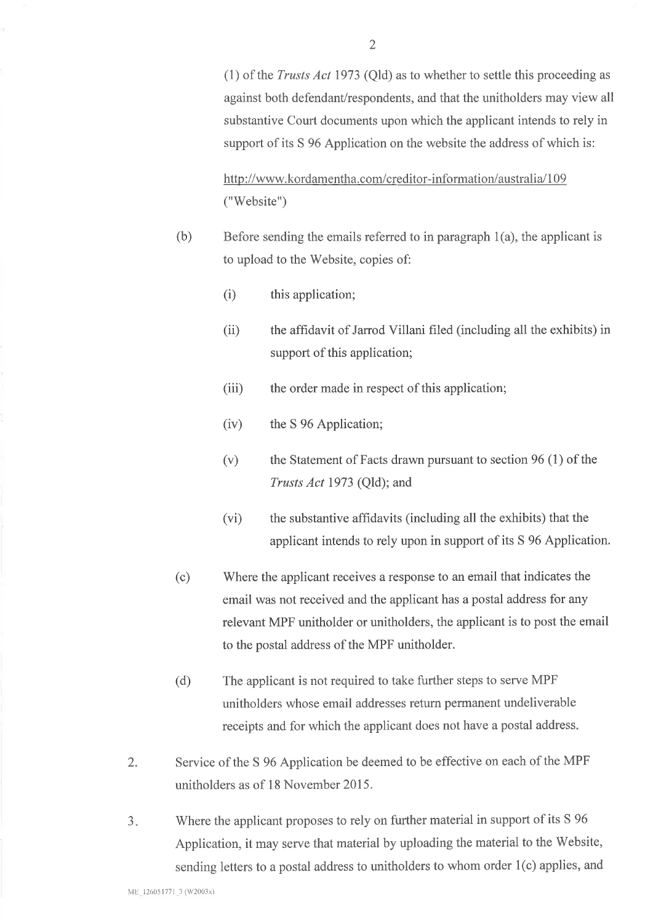(1) of the Trusts Act 1973 (Qld) as to whether to settle this proceeding as against both defendant/respondents, and that the unitholders may view all substantive Court documents upon which the applicant intends to rely in support of its S 96 Application on the website the address of which is:

http ://www. kordamentha. com/creditor-inforrnation/australia/ 1 09 ("Website")

- (b) Before sending the emails referred to in paragraph 1(a), the applicant is to upload to the Website, copies of:
	- (i) this application;
	- (ii) the affidavit of Jarrod Villani filed (including all the exhibits) in support of this application;
	- (iii) the order made in respect of this application;
	- (iv) the S 96 Application;
	- (v) the Statement of Facts drawn pursuant to section 96 (1) of the Trusts Act 1973 (Qld); and
	- (vi) the substantive affrdavits (including all the exhibits) that the applicant intends to rely upon in support of its S 96 Application.
- (c) 'Where the applicant receives a response to an email that indicates the email was not received and the applicant has a postal address for any relevant MPF unitholder or unitholders, the applicant is to post the email to the postal address of the MPF unitholder.
- (d) The applicant is not required to take further steps to serve MPF unitholders whose email addresses return permanent undeliverable receipts and for which the applicant does not have a postal address
- 2. Service of the S 96 Application be deemed to be effective on each of the MPF unitholders as of 18 November 2015.
- a J Where the applicant proposes to rely on further material in support of its S 96 Application, it may serve that material by uploading the material to the Website, sending letters to a postal address to unitholders to whom order 1(c) applies, and